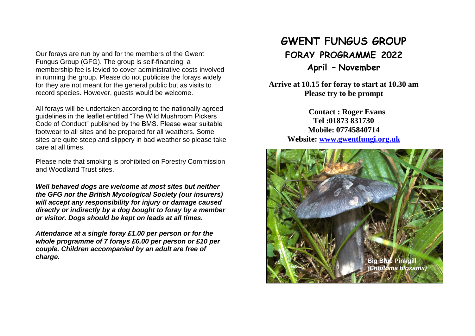Our forays are run by and for the members of the Gwent Fungus Group (GFG). The group is self-financing, a membership fee is levied to cover administrative costs involved in running the group. Please do not publicise the forays widely for they are not meant for the general public but as visits to record species. However, guests would be welcome.

All forays will be undertaken according to the nationally agreed guidelines in the leaflet entitled "The Wild Mushroom Pickers Code of Conduct" published by the BMS. Please wear suitable footwear to all sites and be prepared for all weathers. Some sites are quite steep and slippery in bad weather so please take care at all times.

Please note that smoking is prohibited on Forestry Commission and Woodland Trust sites.

*Well behaved dogs are welcome at most sites but neither the GFG nor the British Mycological Society (our insurers) will accept any responsibility for injury or damage caused directly or indirectly by a dog bought to foray by a member or visitor. Dogs should be kept on leads at all times.*

*Attendance at a single foray £1.00 per person or for the whole programme of 7 forays £6.00 per person or £10 per couple. Children accompanied by an adult are free of charge.*

# **GWENT FUNGUS GROUP FORAY PROGRAMME 2022 April – November**

**Arrive at 10.15 for foray to start at 10.30 am Please try to be prompt**

> **Contact : Roger Evans Tel :01873 831730 Mobile: 07745840714 Website: [www.gwentfungi.org.uk](file:///D:/Gwent%20Fungus%20Group/www.gwentfungi.org.uk)**